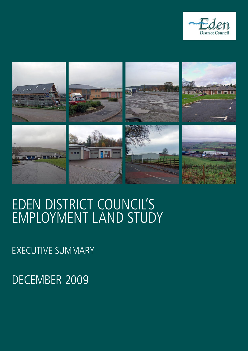



# EdEn district council's EmploymEnt land study

ExEcutivE summary

DECEMBER 2009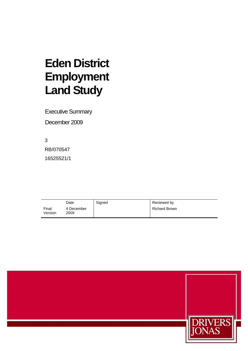# **Eden District Employment Land Study**

Executive Summary

December 2009

3 RB/070547 16525521/1

|                  | Date               | Signed | Reviewed by          |
|------------------|--------------------|--------|----------------------|
| Final<br>Version | 4 December<br>2009 |        | <b>Richard Brown</b> |

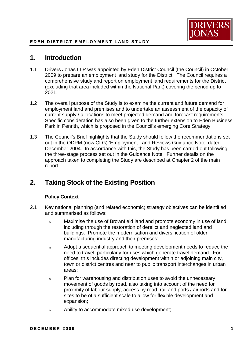

# **1. Introduction**

- 1.1 Drivers Jonas LLP was appointed by Eden District Council (the Council) in October 2009 to prepare an employment land study for the District. The Council requires a comprehensive study and report on employment land requirements for the District (excluding that area included within the National Park) covering the period up to 2021.
- 1.2 The overall purpose of the Study is to examine the current and future demand for employment land and premises and to undertake an assessment of the capacity of current supply / allocations to meet projected demand and forecast requirements. Specific consideration has also been given to the further extension to Eden Business Park in Penrith, which is proposed in the Council's emerging Core Strategy.
- out in the ODPM (now CLG) 'Employment Land Reviews Guidance Note' dated December 2004. In accordance with this, the Study has been carried out following the three-stage process set out in the Guidance Note. Further details on the approach taken to completing the Study are described at Chapter 2 of the main 1.3 The Council's Brief highlights that the Study should follow the recommendations set report.

# **2. Taking Stock of the Existing Position**

# **Policy Context**

- 2.1 Key national planning (and related economic) strategy objectives can be identified and summarised as follows:
	- <sup>n</sup> Maximise the use of Brownfield land and promote economy in use of land, including through the restoration of derelict and neglected land and buildings. Promote the modernisation and diversification of older manufacturing industry and their premises;
	- <sup>n</sup> Adopt a sequential approach to meeting development needs to reduce the need to travel, particularly for uses which generate travel demand. For offices, this includes directing development within or adjoining main city, town or district centres and near to public transport interchanges in urban areas;
	- <sup>n</sup> Plan for warehousing and distribution uses to avoid the unnecessary movement of goods by road, also taking into account of the need for proximity of labour supply, access by road, rail and ports / airports and for sites to be of a sufficient scale to allow for flexible development and expansion;
	- <sup>n</sup> Ability to accommodate mixed use development;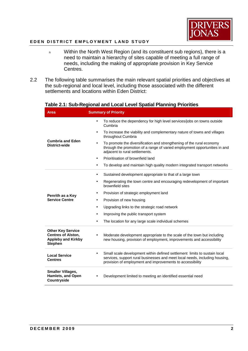

- <sup>n</sup> Within the North West Region (and its constituent sub regions), there is a need to maintain a hierarchy of sites capable of meeting a full range of needs, including the making of appropriate provision in Key Service Centres.
- 2.2 The following table summarises the main relevant spatial priorities and objectives at the sub-regional and local level, including those associated with the different settlements and locations within Eden District:

| Area                                                                                                 | <b>Summary of Priority</b>                                                                                                                                                                                            |
|------------------------------------------------------------------------------------------------------|-----------------------------------------------------------------------------------------------------------------------------------------------------------------------------------------------------------------------|
|                                                                                                      | To reduce the dependency for high level services/jobs on towns outside<br>$\bullet$<br>Cumbria                                                                                                                        |
|                                                                                                      | To increase the viability and complementary nature of towns and villages<br>throughout Cumbria                                                                                                                        |
| <b>Cumbria and Eden</b><br><b>District-wide</b>                                                      | To promote the diversification and strengthening of the rural economy<br>through the promotion of a range of varied employment opportunities in and<br>adjacent to rural settlements.                                 |
|                                                                                                      | Prioritisation of brownfield land<br>$\bullet$                                                                                                                                                                        |
|                                                                                                      | To develop and maintain high quality modern integrated transport networks                                                                                                                                             |
|                                                                                                      | Sustained development appropriate to that of a large town                                                                                                                                                             |
|                                                                                                      | Regenerating the town centre and encouraging redevelopment of important<br>brownfield sites                                                                                                                           |
| Penrith as a Key                                                                                     | Provision of strategic employment land                                                                                                                                                                                |
| <b>Service Centre</b>                                                                                | Provision of new housing                                                                                                                                                                                              |
|                                                                                                      | Upgrading links to the strategic road network                                                                                                                                                                         |
|                                                                                                      | Improving the public transport system                                                                                                                                                                                 |
|                                                                                                      | The location for any large scale individual schemes                                                                                                                                                                   |
| <b>Other Key Service</b><br><b>Centres of Alston,</b><br><b>Appleby and Kirkby</b><br><b>Stephen</b> | Moderate development appropriate to the scale of the town but including<br>new housing, provision of employment, improvements and accessibility                                                                       |
| <b>Local Service</b><br><b>Centres</b>                                                               | Small scale development within defined settlement limits to sustain local<br>services, support rural businesses and meet local needs, including housing,<br>provision of employment and improvements to accessibility |
| <b>Smaller Villages,</b><br><b>Hamlets, and Open</b><br>Countryside                                  | Development limited to meeting an identified essential need                                                                                                                                                           |

# **Table 2.1: Sub-Regional and Local Level Spatial Planning Priorities**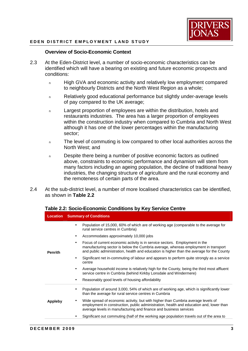

# **Overview of Socio-Economic Context**

- 2.3 At the Eden-District level, a number of socio-economic characteristics can be identified which will have a bearing on existing and future economic prospects and conditions:
	- n High GVA and economic activity and relatively low employment compared to neighbourly Districts and the North West Region as a whole;
	- <sup>n</sup> Relatively good educational performance but slightly under-average levels of pay compared to the UK average;
	- n Largest proportion of employees are within the distribution, hotels and restaurants industries. The area has a larger proportion of employees within the construction industry when compared to Cumbria and North West although it has one of the lower percentages within the manufacturing sector;
	- <sup>n</sup> The level of commuting is low compared to other local authorities across the North West; and
	- n Despite there being a number of positive economic factors as outlined above, constraints to economic performance and dynamism will stem from many factors including an ageing population, the decline of traditional heavy industries, the changing structure of agriculture and the rural economy and the remoteness of certain parts of the area.
- 2.4 At the sub-district level, a number of more localised characteristics can be identified, as shown in **Table 2.2**

# **Table 2.2: Socio-Economic Conditions by Key Service Centre**

|                | <b>Location</b> Summary of Conditions                                                                                                                                                                                                                                       |  |
|----------------|-----------------------------------------------------------------------------------------------------------------------------------------------------------------------------------------------------------------------------------------------------------------------------|--|
| <b>Penrith</b> | Population of 15,000, 60% of which are of working age (comparable to the average for<br>rural service centres in Cumbria)                                                                                                                                                   |  |
|                | Accommodates approximately 10,000 jobs                                                                                                                                                                                                                                      |  |
|                | Focus of current economic activity is in service sectors. Employment in the<br>$\bullet$<br>manufacturing sector is below the Cumbria average, whereas employment in transport<br>and public administration, health and education is higher than the average for the County |  |
|                | Significant net in-commuting of labour and appears to perform quite strongly as a service<br>centre                                                                                                                                                                         |  |
|                | Average household income is relatively high for the County, being the third most affluent<br>$\bullet$<br>service centre in Cumbria (behind Kirkby Lonsdale and Windermere)                                                                                                 |  |
|                | Reasonably good levels of housing affordability                                                                                                                                                                                                                             |  |
| Appleby        | Population of around 3,000, 54% of which are of working age, which is significantly lower<br>than the average for rural service centres in Cumbria                                                                                                                          |  |
|                | Wide spread of economic activity, but with higher than Cumbria average levels of<br>٠<br>employment in construction, public administration, health and education and, lower than<br>average levels in manufacturing and finance and business services                       |  |
|                | Significant out commuting (half of the working age population travels out of the area to                                                                                                                                                                                    |  |
|                |                                                                                                                                                                                                                                                                             |  |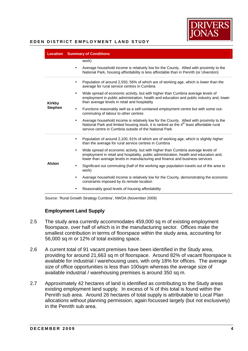

| <b>Location</b>          | <b>Summary of Conditions</b>                                                                                                                                                                                                                               |
|--------------------------|------------------------------------------------------------------------------------------------------------------------------------------------------------------------------------------------------------------------------------------------------------|
|                          | work)<br>Average household income is relatively low for the County. Allied with proximity to the                                                                                                                                                           |
|                          | National Park, housing affordability is less affordable than in Penrith (or Ulverston)                                                                                                                                                                     |
| Kirkby<br><b>Stephen</b> | Population of around 2,550, 56% of which are of working age, which is lower than the<br>average for rural service centres in Cumbria                                                                                                                       |
|                          | Wide spread of economic activity, but with higher than Cumbria average levels of<br>employment in public administration, health and education and public industry and, lower<br>than average levels in retail and hospitality                              |
|                          | Functions reasonably well as a self-contained employment centre but with some out-<br>commuting of labour to other centres                                                                                                                                 |
|                          | Average household income is relatively low for the County. Allied with proximity to the<br>National Park and limited housing stock, it is ranked as the 4 <sup>th</sup> least affordable rural<br>service centre in Cumbria outside of the National Park   |
| Alston                   | Population of around 2,100, 61% of which are of working age, which is slightly higher<br>than the average for rural service centres in Cumbria                                                                                                             |
|                          | Wide spread of economic activity, but with higher than Cumbria average levels of<br>employment in retail and hospitality, public administration, health and education and,<br>lower than average levels in manufacturing and finance and business services |
|                          | Significant out commuting (half of the working age population travels out of the area to<br>work)                                                                                                                                                          |
|                          | Average household income is relatively low for the County, demonstrating the economic<br>constraints imposed by its remote location                                                                                                                        |
|                          | Reasonably good levels of housing affordability                                                                                                                                                                                                            |

Source: 'Rural Growth Strategy Cumbria', NWDA (November 2009)

# **Employment Land Supply**

- 2.5 The study area currently accommodates 459,000 sq m of existing employment floorspace, over half of which is in the manufacturing sector. Offices make the smallest contribution in terms of floorspace within the study area, accounting for 56,000 sq m or 12% of total existing space.
- 2.6 A current total of 91 vacant premises have been identified in the Study area, providing for around 21,663 sq m of floorspace. Around 82% of vacant floorspace is available for industrial / warehousing uses, with only 18% for offices. The average size of office opportunities is less than 100sqm whereas the average size of available industrial / warehousing premises is around 350 sq m.
- 2.7 Approximately 42 hectares of land is identified as contributing to the Study areas existing employment land supply. In excess of ¾ of this total is found within the Penrith sub area. Around 26 hectares of total supply is attributable to Local Plan allocations without planning permission, again focussed largely (but not exclusively) in the Penrith sub area.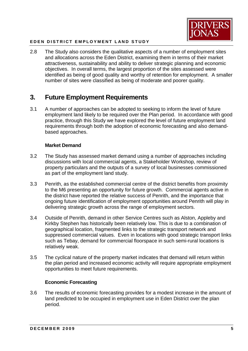

 2.8 The Study also considers the qualitative aspects of a number of employment sites and allocations across the Eden District, examining them in terms of their market attractiveness, sustainability and ability to deliver strategic planning and economic objectives. In overall terms, the largest proportion of the sites assessed were identified as being of good quality and worthy of retention for employment. A smaller number of sites were classified as being of moderate and poorer quality.

# **3. Future Employment Requirements**

 3.1 A number of approaches can be adopted to seeking to inform the level of future employment land likely to be required over the Plan period. In accordance with good practice, through this Study we have explored the level of future employment land requirements through both the adoption of economic forecasting and also demand-based approaches.

# **Market Demand**

- 3.2 The Study has assessed market demand using a number of approaches including discussions with local commercial agents, a Stakeholder Workshop, review of property particulars and the outputs of a survey of local businesses commissioned as part of the employment land study.
- 3.3 Penrith, as the established commercial centre of the district benefits from proximity to the M6 presenting an opportunity for future growth. Commercial agents active in the district have reported the relative success of Penrith, and the importance that ongoing future identification of employment opportunities around Penrith will play in delivering strategic growth across the range of employment sectors.
- 3.4 Outside of Penrith, demand in other Service Centres such as Alston, Appleby and Kirkby Stephen has historically been relatively low. This is due to a combination of geographical location, fragmented links to the strategic transport network and suppressed commercial values. Even in locations with good strategic transport links such as Tebay, demand for commercial floorspace in such semi-rural locations is relatively weak.
- 3.5 The cyclical nature of the property market indicates that demand will return within the plan period and increased economic activity will require appropriate employment opportunities to meet future requirements.

# **Economic Forecasting**

 3.6 The results of economic forecasting provides for a modest increase in the amount of land predicted to be occupied in employment use in Eden District over the plan period.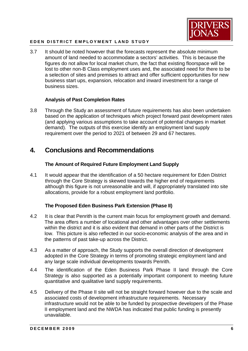

 3.7 It should be noted however that the forecasts represent the absolute minimum amount of land needed to accommodate a sectors' activities. This is because the figures do not allow for local market churn, the fact that existing floorspace will be lost to other non-B Class employment uses and, the associated need for there to be a selection of sites and premises to attract and offer sufficient opportunities for new business start ups, expansion, relocation and inward investment for a range of business sizes.

# **Analysis of Past Completion Rates**

 3.8 Through the Study an assessment of future requirements has also been undertaken based on the application of techniques which project forward past development rates (and applying various assumptions to take account of potential changes in market demand). The outputs of this exercise identify an employment land supply requirement over the period to 2021 of between 29 and 67 hectares.

# **4. Conclusions and Recommendations**

# **The Amount of Required Future Employment Land Supply**

 4.1 It would appear that the identification of a 50 hectare requirement for Eden District through the Core Strategy is skewed towards the higher end of requirements although this figure is not unreasonable and will, if appropriately translated into site allocations, provide for a robust employment land portfolio.

# **The Proposed Eden Business Park Extension (Phase II)**

- 4.2 It is clear that Penrith is the current main focus for employment growth and demand. The area offers a number of locational and other advantages over other settlements within the district and it is also evident that demand in other parts of the District is low. This picture is also reflected in our socio-economic analysis of the area and in the patterns of past take-up across the District.
- 4.3 As a matter of approach, the Study supports the overall direction of development adopted in the Core Strategy in terms of promoting strategic employment land and any large scale individual developments towards Penrith.
- 4.4 The identification of the Eden Business Park Phase II land through the Core Strategy is also supported as a potentially important component to meeting future quantitative and qualitative land supply requirements.
- 4.5 Delivery of the Phase II site will not be straight forward however due to the scale and associated costs of development infrastructure requirements. Necessary infrastructure would not be able to be funded by prospective developers of the Phase II employment land and the NWDA has indicated that public funding is presently unavailable.